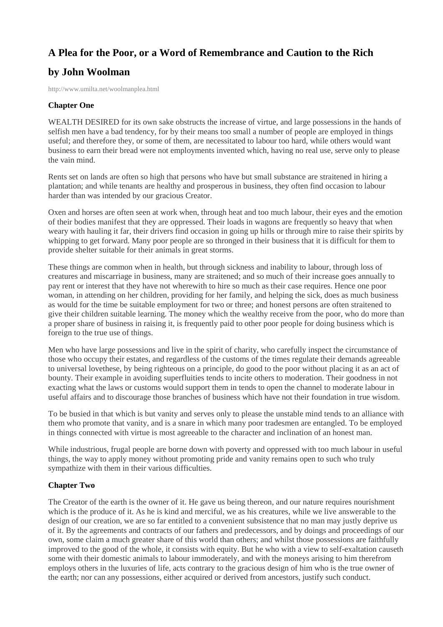# **A Plea for the Poor, or a Word of Remembrance and Caution to the Rich**

# **by John Woolman**

http://www.umilta.net/woolmanplea.html

# **Chapter One**

WEALTH DESIRED for its own sake obstructs the increase of virtue, and large possessions in the hands of selfish men have a bad tendency, for by their means too small a number of people are employed in things useful; and therefore they, or some of them, are necessitated to labour too hard, while others would want business to earn their bread were not employments invented which, having no real use, serve only to please the vain mind.

Rents set on lands are often so high that persons who have but small substance are straitened in hiring a plantation; and while tenants are healthy and prosperous in business, they often find occasion to labour harder than was intended by our gracious Creator.

Oxen and horses are often seen at work when, through heat and too much labour, their eyes and the emotion of their bodies manifest that they are oppressed. Their loads in wagons are frequently so heavy that when weary with hauling it far, their drivers find occasion in going up hills or through mire to raise their spirits by whipping to get forward. Many poor people are so thronged in their business that it is difficult for them to provide shelter suitable for their animals in great storms.

These things are common when in health, but through sickness and inability to labour, through loss of creatures and miscarriage in business, many are straitened; and so much of their increase goes annually to pay rent or interest that they have not wherewith to hire so much as their case requires. Hence one poor woman, in attending on her children, providing for her family, and helping the sick, does as much business as would for the time be suitable employment for two or three; and honest persons are often straitened to give their children suitable learning. The money which the wealthy receive from the poor, who do more than a proper share of business in raising it, is frequently paid to other poor people for doing business which is foreign to the true use of things.

Men who have large possessions and live in the spirit of charity, who carefully inspect the circumstance of those who occupy their estates, and regardless of the customs of the times regulate their demands agreeable to universal lovethese, by being righteous on a principle, do good to the poor without placing it as an act of bounty. Their example in avoiding superfluities tends to incite others to moderation. Their goodness in not exacting what the laws or customs would support them in tends to open the channel to moderate labour in useful affairs and to discourage those branches of business which have not their foundation in true wisdom.

To be busied in that which is but vanity and serves only to please the unstable mind tends to an alliance with them who promote that vanity, and is a snare in which many poor tradesmen are entangled. To be employed in things connected with virtue is most agreeable to the character and inclination of an honest man.

While industrious, frugal people are borne down with poverty and oppressed with too much labour in useful things, the way to apply money without promoting pride and vanity remains open to such who truly sympathize with them in their various difficulties.

# **Chapter Two**

The Creator of the earth is the owner of it. He gave us being thereon, and our nature requires nourishment which is the produce of it. As he is kind and merciful, we as his creatures, while we live answerable to the design of our creation, we are so far entitled to a convenient subsistence that no man may justly deprive us of it. By the agreements and contracts of our fathers and predecessors, and by doings and proceedings of our own, some claim a much greater share of this world than others; and whilst those possessions are faithfully improved to the good of the whole, it consists with equity. But he who with a view to self-exaltation causeth some with their domestic animals to labour immoderately, and with the moneys arising to him therefrom employs others in the luxuries of life, acts contrary to the gracious design of him who is the true owner of the earth; nor can any possessions, either acquired or derived from ancestors, justify such conduct.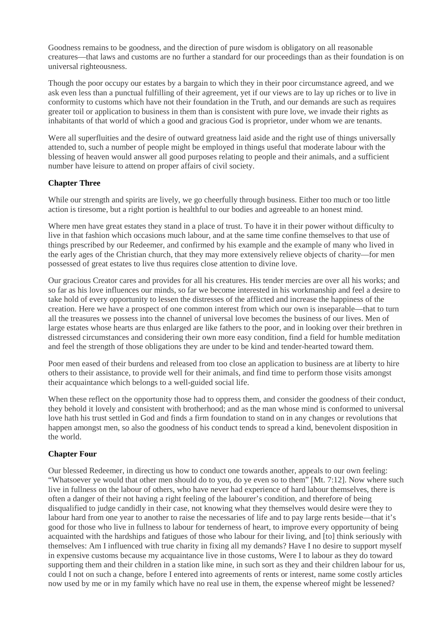Goodness remains to be goodness, and the direction of pure wisdom is obligatory on all reasonable creatures—that laws and customs are no further a standard for our proceedings than as their foundation is on universal righteousness.

Though the poor occupy our estates by a bargain to which they in their poor circumstance agreed, and we ask even less than a punctual fulfilling of their agreement, yet if our views are to lay up riches or to live in conformity to customs which have not their foundation in the Truth, and our demands are such as requires greater toil or application to business in them than is consistent with pure love, we invade their rights as inhabitants of that world of which a good and gracious God is proprietor, under whom we are tenants.

Were all superfluities and the desire of outward greatness laid aside and the right use of things universally attended to, such a number of people might be employed in things useful that moderate labour with the blessing of heaven would answer all good purposes relating to people and their animals, and a sufficient number have leisure to attend on proper affairs of civil society.

# **Chapter Three**

While our strength and spirits are lively, we go cheerfully through business. Either too much or too little action is tiresome, but a right portion is healthful to our bodies and agreeable to an honest mind.

Where men have great estates they stand in a place of trust. To have it in their power without difficulty to live in that fashion which occasions much labour, and at the same time confine themselves to that use of things prescribed by our Redeemer, and confirmed by his example and the example of many who lived in the early ages of the Christian church, that they may more extensively relieve objects of charity—for men possessed of great estates to live thus requires close attention to divine love.

Our gracious Creator cares and provides for all his creatures. His tender mercies are over all his works; and so far as his love influences our minds, so far we become interested in his workmanship and feel a desire to take hold of every opportunity to lessen the distresses of the afflicted and increase the happiness of the creation. Here we have a prospect of one common interest from which our own is inseparable—that to turn all the treasures we possess into the channel of universal love becomes the business of our lives. Men of large estates whose hearts are thus enlarged are like fathers to the poor, and in looking over their brethren in distressed circumstances and considering their own more easy condition, find a field for humble meditation and feel the strength of those obligations they are under to be kind and tender-hearted toward them.

Poor men eased of their burdens and released from too close an application to business are at liberty to hire others to their assistance, to provide well for their animals, and find time to perform those visits amongst their acquaintance which belongs to a well-guided social life.

When these reflect on the opportunity those had to oppress them, and consider the goodness of their conduct, they behold it lovely and consistent with brotherhood; and as the man whose mind is conformed to universal love hath his trust settled in God and finds a firm foundation to stand on in any changes or revolutions that happen amongst men, so also the goodness of his conduct tends to spread a kind, benevolent disposition in the world.

## **Chapter Four**

Our blessed Redeemer, in directing us how to conduct one towards another, appeals to our own feeling: "Whatsoever ye would that other men should do to you, do ye even so to them" [Mt. 7:12]. Now where such live in fullness on the labour of others, who have never had experience of hard labour themselves, there is often a danger of their not having a right feeling of the labourer's condition, and therefore of being disqualified to judge candidly in their case, not knowing what they themselves would desire were they to labour hard from one year to another to raise the necessaries of life and to pay large rents beside—that it's good for those who live in fullness to labour for tenderness of heart, to improve every opportunity of being acquainted with the hardships and fatigues of those who labour for their living, and [to] think seriously with themselves: Am I influenced with true charity in fixing all my demands? Have I no desire to support myself in expensive customs because my acquaintance live in those customs, Were I to labour as they do toward supporting them and their children in a station like mine, in such sort as they and their children labour for us, could I not on such a change, before I entered into agreements of rents or interest, name some costly articles now used by me or in my family which have no real use in them, the expense whereof might be lessened?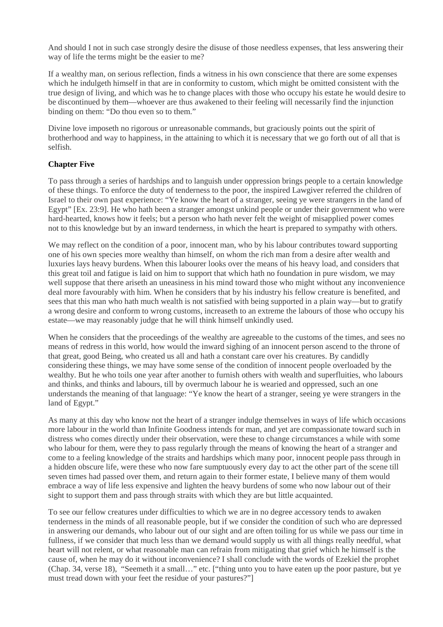And should I not in such case strongly desire the disuse of those needless expenses, that less answering their way of life the terms might be the easier to me?

If a wealthy man, on serious reflection, finds a witness in his own conscience that there are some expenses which he indulgeth himself in that are in conformity to custom, which might be omitted consistent with the true design of living, and which was he to change places with those who occupy his estate he would desire to be discontinued by them—whoever are thus awakened to their feeling will necessarily find the injunction binding on them: "Do thou even so to them."

Divine love imposeth no rigorous or unreasonable commands, but graciously points out the spirit of brotherhood and way to happiness, in the attaining to which it is necessary that we go forth out of all that is selfish.

## **Chapter Five**

To pass through a series of hardships and to languish under oppression brings people to a certain knowledge of these things. To enforce the duty of tenderness to the poor, the inspired Lawgiver referred the children of Israel to their own past experience: "Ye know the heart of a stranger, seeing ye were strangers in the land of Egypt" [Ex. 23:9]. He who hath been a stranger amongst unkind people or under their government who were hard-hearted, knows how it feels; but a person who hath never felt the weight of misapplied power comes not to this knowledge but by an inward tenderness, in which the heart is prepared to sympathy with others.

We may reflect on the condition of a poor, innocent man, who by his labour contributes toward supporting one of his own species more wealthy than himself, on whom the rich man from a desire after wealth and luxuries lays heavy burdens. When this labourer looks over the means of his heavy load, and considers that this great toil and fatigue is laid on him to support that which hath no foundation in pure wisdom, we may well suppose that there ariseth an uneasiness in his mind toward those who might without any inconvenience deal more favourably with him. When he considers that by his industry his fellow creature is benefited, and sees that this man who hath much wealth is not satisfied with being supported in a plain way—but to gratify a wrong desire and conform to wrong customs, increaseth to an extreme the labours of those who occupy his estate—we may reasonably judge that he will think himself unkindly used.

When he considers that the proceedings of the wealthy are agreeable to the customs of the times, and sees no means of redress in this world, how would the inward sighing of an innocent person ascend to the throne of that great, good Being, who created us all and hath a constant care over his creatures. By candidly considering these things, we may have some sense of the condition of innocent people overloaded by the wealthy. But he who toils one year after another to furnish others with wealth and superfluities, who labours and thinks, and thinks and labours, till by overmuch labour he is wearied and oppressed, such an one understands the meaning of that language: "Ye know the heart of a stranger, seeing ye were strangers in the land of Egypt."

As many at this day who know not the heart of a stranger indulge themselves in ways of life which occasions more labour in the world than Infinite Goodness intends for man, and yet are compassionate toward such in distress who comes directly under their observation, were these to change circumstances a while with some who labour for them, were they to pass regularly through the means of knowing the heart of a stranger and come to a feeling knowledge of the straits and hardships which many poor, innocent people pass through in a hidden obscure life, were these who now fare sumptuously every day to act the other part of the scene till seven times had passed over them, and return again to their former estate, I believe many of them would embrace a way of life less expensive and lighten the heavy burdens of some who now labour out of their sight to support them and pass through straits with which they are but little acquainted.

To see our fellow creatures under difficulties to which we are in no degree accessory tends to awaken tenderness in the minds of all reasonable people, but if we consider the condition of such who are depressed in answering our demands, who labour out of our sight and are often toiling for us while we pass our time in fullness, if we consider that much less than we demand would supply us with all things really needful, what heart will not relent, or what reasonable man can refrain from mitigating that grief which he himself is the cause of, when he may do it without inconvenience? I shall conclude with the words of Ezekiel the prophet (Chap. 34, verse 18), "Seemeth it a small…" etc. ["thing unto you to have eaten up the poor pasture, but ye must tread down with your feet the residue of your pastures?"]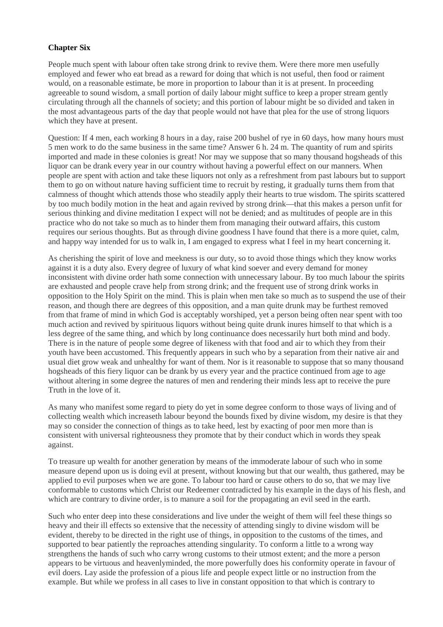# **Chapter Six**

People much spent with labour often take strong drink to revive them. Were there more men usefully employed and fewer who eat bread as a reward for doing that which is not useful, then food or raiment would, on a reasonable estimate, be more in proportion to labour than it is at present. In proceeding agreeable to sound wisdom, a small portion of daily labour might suffice to keep a proper stream gently circulating through all the channels of society; and this portion of labour might be so divided and taken in the most advantageous parts of the day that people would not have that plea for the use of strong liquors which they have at present.

Question: If 4 men, each working 8 hours in a day, raise 200 bushel of rye in 60 days, how many hours must 5 men work to do the same business in the same time? Answer 6 h. 24 m. The quantity of rum and spirits imported and made in these colonies is great! Nor may we suppose that so many thousand hogsheads of this liquor can be drank every year in our country without having a powerful effect on our manners. When people are spent with action and take these liquors not only as a refreshment from past labours but to support them to go on without nature having sufficient time to recruit by resting, it gradually turns them from that calmness of thought which attends those who steadily apply their hearts to true wisdom. The spirits scattered by too much bodily motion in the heat and again revived by strong drink—that this makes a person unfit for serious thinking and divine meditation I expect will not be denied; and as multitudes of people are in this practice who do not take so much as to hinder them from managing their outward affairs, this custom requires our serious thoughts. But as through divine goodness I have found that there is a more quiet, calm, and happy way intended for us to walk in, I am engaged to express what I feel in my heart concerning it.

As cherishing the spirit of love and meekness is our duty, so to avoid those things which they know works against it is a duty also. Every degree of luxury of what kind soever and every demand for money inconsistent with divine order hath some connection with unnecessary labour. By too much labour the spirits are exhausted and people crave help from strong drink; and the frequent use of strong drink works in opposition to the Holy Spirit on the mind. This is plain when men take so much as to suspend the use of their reason, and though there are degrees of this opposition, and a man quite drunk may be furthest removed from that frame of mind in which God is acceptably worshiped, yet a person being often near spent with too much action and revived by spirituous liquors without being quite drunk inures himself to that which is a less degree of the same thing, and which by long continuance does necessarily hurt both mind and body. There is in the nature of people some degree of likeness with that food and air to which they from their youth have been accustomed. This frequently appears in such who by a separation from their native air and usual diet grow weak and unhealthy for want of them. Nor is it reasonable to suppose that so many thousand hogsheads of this fiery liquor can be drank by us every year and the practice continued from age to age without altering in some degree the natures of men and rendering their minds less apt to receive the pure Truth in the love of it.

As many who manifest some regard to piety do yet in some degree conform to those ways of living and of collecting wealth which increaseth labour beyond the bounds fixed by divine wisdom, my desire is that they may so consider the connection of things as to take heed, lest by exacting of poor men more than is consistent with universal righteousness they promote that by their conduct which in words they speak against.

To treasure up wealth for another generation by means of the immoderate labour of such who in some measure depend upon us is doing evil at present, without knowing but that our wealth, thus gathered, may be applied to evil purposes when we are gone. To labour too hard or cause others to do so, that we may live conformable to customs which Christ our Redeemer contradicted by his example in the days of his flesh, and which are contrary to divine order, is to manure a soil for the propagating an evil seed in the earth.

Such who enter deep into these considerations and live under the weight of them will feel these things so heavy and their ill effects so extensive that the necessity of attending singly to divine wisdom will be evident, thereby to be directed in the right use of things, in opposition to the customs of the times, and supported to bear patiently the reproaches attending singularity. To conform a little to a wrong way strengthens the hands of such who carry wrong customs to their utmost extent; and the more a person appears to be virtuous and heavenlyminded, the more powerfully does his conformity operate in favour of evil doers. Lay aside the profession of a pious life and people expect little or no instruction from the example. But while we profess in all cases to live in constant opposition to that which is contrary to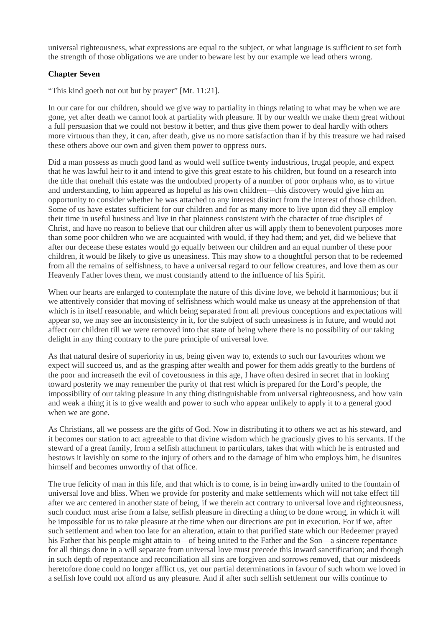universal righteousness, what expressions are equal to the subject, or what language is sufficient to set forth the strength of those obligations we are under to beware lest by our example we lead others wrong.

## **Chapter Seven**

"This kind goeth not out but by prayer" [Mt. 11:21].

In our care for our children, should we give way to partiality in things relating to what may be when we are gone, yet after death we cannot look at partiality with pleasure. If by our wealth we make them great without a full persuasion that we could not bestow it better, and thus give them power to deal hardly with others more virtuous than they, it can, after death, give us no more satisfaction than if by this treasure we had raised these others above our own and given them power to oppress ours.

Did a man possess as much good land as would well suffice twenty industrious, frugal people, and expect that he was lawful heir to it and intend to give this great estate to his children, but found on a research into the title that onehalf this estate was the undoubted property of a number of poor orphans who, as to virtue and understanding, to him appeared as hopeful as his own children—this discovery would give him an opportunity to consider whether he was attached to any interest distinct from the interest of those children. Some of us have estates sufficient for our children and for as many more to live upon did they all employ their time in useful business and live in that plainness consistent with the character of true disciples of Christ, and have no reason to believe that our children after us will apply them to benevolent purposes more than some poor children who we are acquainted with would, if they had them; and yet, did we believe that after our decease these estates would go equally between our children and an equal number of these poor children, it would be likely to give us uneasiness. This may show to a thoughtful person that to be redeemed from all the remains of selfishness, to have a universal regard to our fellow creatures, and love them as our Heavenly Father loves them, we must constantly attend to the influence of his Spirit.

When our hearts are enlarged to contemplate the nature of this divine love, we behold it harmonious; but if we attentively consider that moving of selfishness which would make us uneasy at the apprehension of that which is in itself reasonable, and which being separated from all previous conceptions and expectations will appear so, we may see an inconsistency in it, for the subject of such uneasiness is in future, and would not affect our children till we were removed into that state of being where there is no possibility of our taking delight in any thing contrary to the pure principle of universal love.

As that natural desire of superiority in us, being given way to, extends to such our favourites whom we expect will succeed us, and as the grasping after wealth and power for them adds greatly to the burdens of the poor and increaseth the evil of covetousness in this age, I have often desired in secret that in looking toward posterity we may remember the purity of that rest which is prepared for the Lord's people, the impossibility of our taking pleasure in any thing distinguishable from universal righteousness, and how vain and weak a thing it is to give wealth and power to such who appear unlikely to apply it to a general good when we are gone.

As Christians, all we possess are the gifts of God. Now in distributing it to others we act as his steward, and it becomes our station to act agreeable to that divine wisdom which he graciously gives to his servants. If the steward of a great family, from a selfish attachment to particulars, takes that with which he is entrusted and bestows it lavishly on some to the injury of others and to the damage of him who employs him, he disunites himself and becomes unworthy of that office.

The true felicity of man in this life, and that which is to come, is in being inwardly united to the fountain of universal love and bliss. When we provide for posterity and make settlements which will not take effect till after we arc centered in another state of being, if we therein act contrary to universal love and righteousness, such conduct must arise from a false, selfish pleasure in directing a thing to be done wrong, in which it will be impossible for us to take pleasure at the time when our directions are put in execution. For if we, after such settlement and when too late for an alteration, attain to that purified state which our Redeemer prayed his Father that his people might attain to—of being united to the Father and the Son—a sincere repentance for all things done in a will separate from universal love must precede this inward sanctification; and though in such depth of repentance and reconciliation all sins are forgiven and sorrows removed, that our misdeeds heretofore done could no longer afflict us, yet our partial determinations in favour of such whom we loved in a selfish love could not afford us any pleasure. And if after such selfish settlement our wills continue to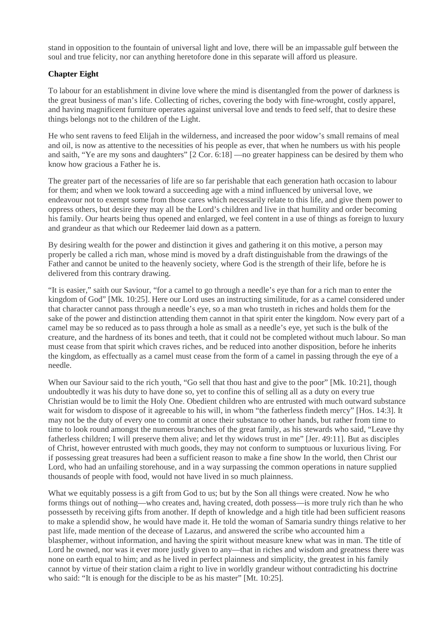stand in opposition to the fountain of universal light and love, there will be an impassable gulf between the soul and true felicity, nor can anything heretofore done in this separate will afford us pleasure.

# **Chapter Eight**

To labour for an establishment in divine love where the mind is disentangled from the power of darkness is the great business of man's life. Collecting of riches, covering the body with fine-wrought, costly apparel, and having magnificent furniture operates against universal love and tends to feed self, that to desire these things belongs not to the children of the Light.

He who sent ravens to feed Elijah in the wilderness, and increased the poor widow's small remains of meal and oil, is now as attentive to the necessities of his people as ever, that when he numbers us with his people and saith, "Ye are my sons and daughters" [2 Cor. 6:18] —no greater happiness can be desired by them who know how gracious a Father he is.

The greater part of the necessaries of life are so far perishable that each generation hath occasion to labour for them; and when we look toward a succeeding age with a mind influenced by universal love, we endeavour not to exempt some from those cares which necessarily relate to this life, and give them power to oppress others, but desire they may all be the Lord's children and live in that humility and order becoming his family. Our hearts being thus opened and enlarged, we feel content in a use of things as foreign to luxury and grandeur as that which our Redeemer laid down as a pattern.

By desiring wealth for the power and distinction it gives and gathering it on this motive, a person may properly be called a rich man, whose mind is moved by a draft distinguishable from the drawings of the Father and cannot be united to the heavenly society, where God is the strength of their life, before he is delivered from this contrary drawing.

"It is easier," saith our Saviour, "for a camel to go through a needle's eye than for a rich man to enter the kingdom of God" [Mk. 10:25]. Here our Lord uses an instructing similitude, for as a camel considered under that character cannot pass through a needle's eye, so a man who trusteth in riches and holds them for the sake of the power and distinction attending them cannot in that spirit enter the kingdom. Now every part of a camel may be so reduced as to pass through a hole as small as a needle's eye, yet such is the bulk of the creature, and the hardness of its bones and teeth, that it could not be completed without much labour. So man must cease from that spirit which craves riches, and be reduced into another disposition, before he inherits the kingdom, as effectually as a camel must cease from the form of a camel in passing through the eye of a needle.

When our Saviour said to the rich youth, "Go sell that thou hast and give to the poor" [Mk. 10:21], though undoubtedly it was his duty to have done so, yet to confine this of selling all as a duty on every true Christian would be to limit the Holy One. Obedient children who are entrusted with much outward substance wait for wisdom to dispose of it agreeable to his will, in whom "the fatherless findeth mercy" [Hos. 14:3]. It may not be the duty of every one to commit at once their substance to other hands, but rather from time to time to look round amongst the numerous branches of the great family, as his stewards who said, "Leave thy fatherless children; I will preserve them alive; and let thy widows trust in me" [Jer. 49:11]. But as disciples of Christ, however entrusted with much goods, they may not conform to sumptuous or luxurious living. For if possessing great treasures had been a sufficient reason to make a fine show In the world, then Christ our Lord, who had an unfailing storehouse, and in a way surpassing the common operations in nature supplied thousands of people with food, would not have lived in so much plainness.

What we equitably possess is a gift from God to us; but by the Son all things were created. Now he who forms things out of nothing—who creates and, having created, doth possess—is more truly rich than he who possesseth by receiving gifts from another. If depth of knowledge and a high title had been sufficient reasons to make a splendid show, he would have made it. He told the woman of Samaria sundry things relative to her past life, made mention of the decease of Lazarus, and answered the scribe who accounted him a blasphemer, without information, and having the spirit without measure knew what was in man. The title of Lord he owned, nor was it ever more justly given to any—that in riches and wisdom and greatness there was none on earth equal to him; and as he lived in perfect plainness and simplicity, the greatest in his family cannot by virtue of their station claim a right to live in worldly grandeur without contradicting his doctrine who said: "It is enough for the disciple to be as his master" [Mt. 10:25].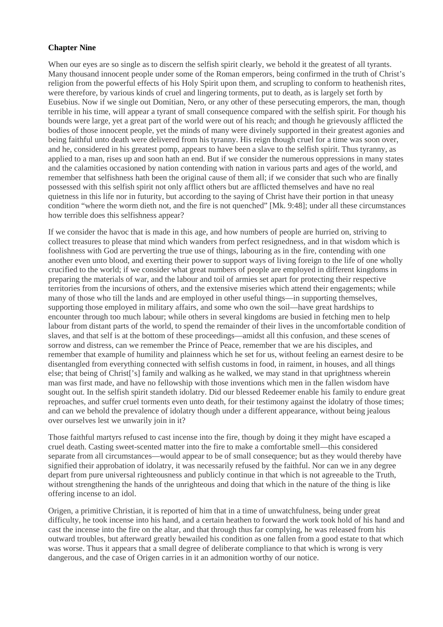## **Chapter Nine**

When our eyes are so single as to discern the selfish spirit clearly, we behold it the greatest of all tyrants. Many thousand innocent people under some of the Roman emperors, being confirmed in the truth of Christ's religion from the powerful effects of his Holy Spirit upon them, and scrupling to conform to heathenish rites, were therefore, by various kinds of cruel and lingering torments, put to death, as is largely set forth by Eusebius. Now if we single out Domitian, Nero, or any other of these persecuting emperors, the man, though terrible in his time, will appear a tyrant of small consequence compared with the selfish spirit. For though his bounds were large, yet a great part of the world were out of his reach; and though he grievously afflicted the bodies of those innocent people, yet the minds of many were divinely supported in their greatest agonies and being faithful unto death were delivered from his tyranny. His reign though cruel for a time was soon over, and he, considered in his greatest pomp, appears to have been a slave to the selfish spirit. Thus tyranny, as applied to a man, rises up and soon hath an end. But if we consider the numerous oppressions in many states and the calamities occasioned by nation contending with nation in various parts and ages of the world, and remember that selfishness hath been the original cause of them all; if we consider that such who are finally possessed with this selfish spirit not only afflict others but are afflicted themselves and have no real quietness in this life nor in futurity, but according to the saying of Christ have their portion in that uneasy condition "where the worm dieth not, and the fire is not quenched" [Mk. 9:48]; under all these circumstances how terrible does this selfishness appear?

If we consider the havoc that is made in this age, and how numbers of people are hurried on, striving to collect treasures to please that mind which wanders from perfect resignedness, and in that wisdom which is foolishness with God are perverting the true use of things, labouring as in the fire, contending with one another even unto blood, and exerting their power to support ways of living foreign to the life of one wholly crucified to the world; if we consider what great numbers of people are employed in different kingdoms in preparing the materials of war, and the labour and toil of armies set apart for protecting their respective territories from the incursions of others, and the extensive miseries which attend their engagements; while many of those who till the lands and are employed in other useful things—in supporting themselves, supporting those employed in military affairs, and some who own the soil—have great hardships to encounter through too much labour; while others in several kingdoms are busied in fetching men to help labour from distant parts of the world, to spend the remainder of their lives in the uncomfortable condition of slaves, and that self is at the bottom of these proceedings—amidst all this confusion, and these scenes of sorrow and distress, can we remember the Prince of Peace, remember that we are his disciples, and remember that example of humility and plainness which he set for us, without feeling an earnest desire to be disentangled from everything connected with selfish customs in food, in raiment, in houses, and all things else; that being of Christ['s] family and walking as he walked, we may stand in that uprightness wherein man was first made, and have no fellowship with those inventions which men in the fallen wisdom have sought out. In the selfish spirit standeth idolatry. Did our blessed Redeemer enable his family to endure great reproaches, and suffer cruel torments even unto death, for their testimony against the idolatry of those times; and can we behold the prevalence of idolatry though under a different appearance, without being jealous over ourselves lest we unwarily join in it?

Those faithful martyrs refused to cast incense into the fire, though by doing it they might have escaped a cruel death. Casting sweet-scented matter into the fire to make a comfortable smell—this considered separate from all circumstances—would appear to be of small consequence; but as they would thereby have signified their approbation of idolatry, it was necessarily refused by the faithful. Nor can we in any degree depart from pure universal righteousness and publicly continue in that which is not agreeable to the Truth, without strengthening the hands of the unrighteous and doing that which in the nature of the thing is like offering incense to an idol.

Origen, a primitive Christian, it is reported of him that in a time of unwatchfulness, being under great difficulty, he took incense into his hand, and a certain heathen to forward the work took hold of his hand and cast the incense into the fire on the altar, and that through thus far complying, he was released from his outward troubles, but afterward greatly bewailed his condition as one fallen from a good estate to that which was worse. Thus it appears that a small degree of deliberate compliance to that which is wrong is very dangerous, and the case of Origen carries in it an admonition worthy of our notice.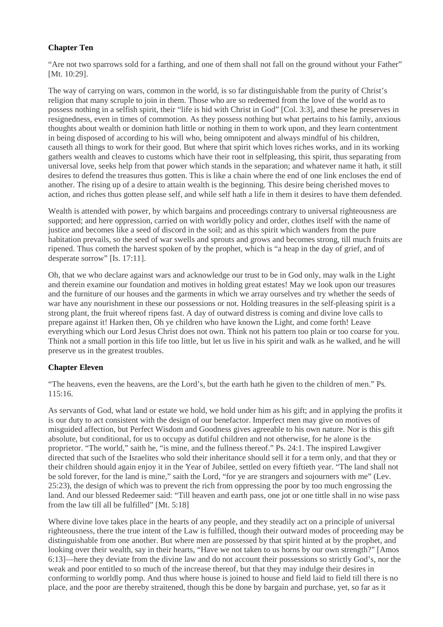# **Chapter Ten**

"Are not two sparrows sold for a farthing, and one of them shall not fall on the ground without your Father" [Mt. 10:29].

The way of carrying on wars, common in the world, is so far distinguishable from the purity of Christ's religion that many scruple to join in them. Those who are so redeemed from the love of the world as to possess nothing in a selfish spirit, their "life is hid with Christ in God" [Col. 3:3], and these he preserves in resignedness, even in times of commotion. As they possess nothing but what pertains to his family, anxious thoughts about wealth or dominion hath little or nothing in them to work upon, and they learn contentment in being disposed of according to his will who, being omnipotent and always mindful of his children, causeth all things to work for their good. But where that spirit which loves riches works, and in its working gathers wealth and cleaves to customs which have their root in selfpleasing, this spirit, thus separating from universal love, seeks help from that power which stands in the separation; and whatever name it hath, it still desires to defend the treasures thus gotten. This is like a chain where the end of one link encloses the end of another. The rising up of a desire to attain wealth is the beginning. This desire being cherished moves to action, and riches thus gotten please self, and while self hath a life in them it desires to have them defended.

Wealth is attended with power, by which bargains and proceedings contrary to universal righteousness are supported; and here oppression, carried on with worldly policy and order, clothes itself with the name of justice and becomes like a seed of discord in the soil; and as this spirit which wanders from the pure habitation prevails, so the seed of war swells and sprouts and grows and becomes strong, till much fruits are ripened. Thus cometh the harvest spoken of by the prophet, which is "a heap in the day of grief, and of desperate sorrow" [Is. 17:11].

Oh, that we who declare against wars and acknowledge our trust to be in God only, may walk in the Light and therein examine our foundation and motives in holding great estates! May we look upon our treasures and the furniture of our houses and the garments in which we array ourselves and try whether the seeds of war have any nourishment in these our possessions or not. Holding treasures in the self-pleasing spirit is a strong plant, the fruit whereof ripens fast. A day of outward distress is coming and divine love calls to prepare against it! Harken then, Oh ye children who have known the Light, and come forth! Leave everything which our Lord Jesus Christ does not own. Think not his pattern too plain or too coarse for you. Think not a small portion in this life too little, but let us live in his spirit and walk as he walked, and he will preserve us in the greatest troubles.

## **Chapter Eleven**

"The heavens, even the heavens, are the Lord's, but the earth hath he given to the children of men." Ps. 115:16.

As servants of God, what land or estate we hold, we hold under him as his gift; and in applying the profits it is our duty to act consistent with the design of our benefactor. Imperfect men may give on motives of misguided affection, but Perfect Wisdom and Goodness gives agreeable to his own nature. Nor is this gift absolute, but conditional, for us to occupy as dutiful children and not otherwise, for he alone is the proprietor. "The world," saith he, "is mine, and the fullness thereof." Ps. 24:1. The inspired Lawgiver directed that such of the Israelites who sold their inheritance should sell it for a term only, and that they or their children should again enjoy it in the Year of Jubilee, settled on every fiftieth year. "The land shall not be sold forever, for the land is mine," saith the Lord, "for ye are strangers and sojourners with me" (Lev. 25:23), the design of which was to prevent the rich from oppressing the poor by too much engrossing the land. And our blessed Redeemer said: "Till heaven and earth pass, one jot or one tittle shall in no wise pass from the law till all be fulfilled" [Mt. 5:18]

Where divine love takes place in the hearts of any people, and they steadily act on a principle of universal righteousness, there the true intent of the Law is fulfilled, though their outward modes of proceeding may be distinguishable from one another. But where men are possessed by that spirit hinted at by the prophet, and looking over their wealth, say in their hearts, "Have we not taken to us horns by our own strength?" [Amos 6:13]—here they deviate from the divine law and do not account their possessions so strictly God's, nor the weak and poor entitled to so much of the increase thereof, but that they may indulge their desires in conforming to worldly pomp. And thus where house is joined to house and field laid to field till there is no place, and the poor are thereby straitened, though this be done by bargain and purchase, yet, so far as it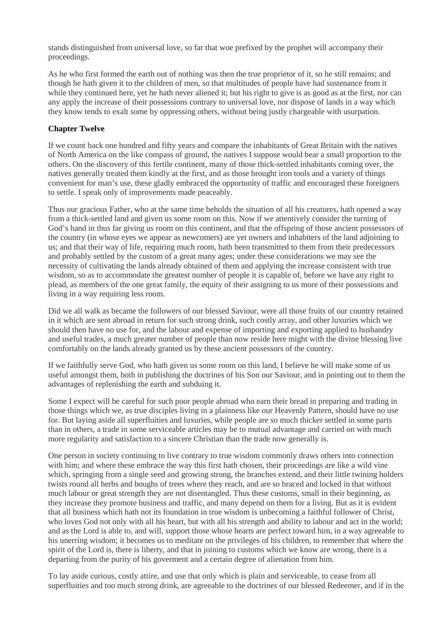stands distinguished from universal love, so far that woe prefixed by the prophet will accompany their proceedings.

As he who first formed the earth out of nothing was then the true proprietor of it, so he still remains; and though he hath given it to the children of men, so that multitudes of people have had sustenance from it while they continued here, yet he hath never aliened it; but his right to give is as good as at the first, nor can any apply the increase of their possessions contrary to universal love, nor dispose of lands in a way which they know tends to exalt some by oppressing others, without being justly chargeable with usurpation.

### **Chapter Twelve**

If we count back one hundred and fifty years and compare the inhabitants of Great Britain with the natives of North America on the like compass of ground, the natives I suppose would bear a small proportion to the others. On the discovery of this fertile continent, many of those thick-settled inhabitants coming over, the natives generally treated them kindly at the first, and as those brought iron tools and a variety of things convenient for man's use, these gladly embraced the opportunity of traffic and encouraged these foreigners to settle. I speak only of improvements made peaceably.

Thus our gracious Father, who at the same time beholds the situation of all his creatures, hath opened a way from a thick-settled land and given us some room on this. Now if we attentively consider the turning of God's hand in thus far giving us room on this continent, and that the offspring of those ancient possessors of the country (in whose eyes we appear as newcomers) are yet owners and inhabiters of the land adjoining to us; and that their way of life, requiring much room, hath been transmitted to them from their predecessors and probably settled by the custom of a great many ages; under these considerations we may see the necessity of cultivating the lands already obtained of them and applying the increase consistent with true wisdom, so as to accommodate the greatest number of people it is capable of, before we have any right to plead, as members of the one great family, the equity of their assigning to us more of their possessions and living in a way requiring less room.

Did we all walk as became the followers of our blessed Saviour, were all those fruits of our country retained in it which are sent abroad in return for such strong drink, such costly array, and other luxuries which we should then have no use for, and the labour and expense of importing and exporting applied to husbandry and useful trades, a much greater number of people than now reside here might with the divine blessing live comfortably on the lands already granted us by these ancient possessors of the country.

If we faithfully serve God, who hath given us some room on this land, I believe he will make some of us useful amongst them, both in publishing the doctrines of his Son our Saviour, and in pointing out to them the advantages of replenishing the earth and subduing it.

Some I expect will be careful for such poor people abroad who earn their bread in preparing and trading in those things which we, as true disciples living in a plainness like our Heavenly Pattern, should have no use for. But laying aside all superfluities and luxuries, while people are so much thicker settled in some parts than in others, a trade in some serviceable articles may be to mutual advantage and carried on with much more regularity and satisfaction to a sincere Christian than the trade now generally is.

One person in society continuing to live contrary to true wisdom commonly draws others into connection with him; and where these embrace the way this first hath chosen, their proceedings are like a wild vine which, springing from a single seed and growing strong, the branches extend, and their little twining holders twists round all herbs and boughs of trees where they reach, and are so braced and locked in that without much labour or great strength they are not disentangled. Thus these customs, small in their beginning, as they increase they promote business and traffic, and many depend on them for a living. But as it is evident that all business which hath not its foundation in true wisdom is unbecoming a faithful follower of Christ, who loves God not only with all his heart, but with all his strength and ability to labour and act in the world; and as the Lord is able to, and will, support those whose hearts are perfect toward him, in a way agreeable to his unerring wisdom; it becomes us to meditate on the privileges of his children, to remember that where the spirit of the Lord is, there is liberty, and that in joining to customs which we know are wrong, there is a departing from the purity of his goverment and a certain degree of alienation from him.

To lay aside curious, costly attire, and use that only which is plain and serviceable, to cease from all superfluities and too much strong drink, are agreeable to the doctrines of our blessed Redeemer, and if in the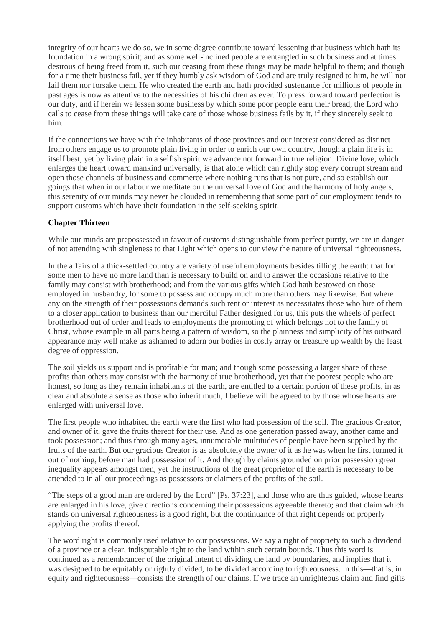integrity of our hearts we do so, we in some degree contribute toward lessening that business which hath its foundation in a wrong spirit; and as some well-inclined people are entangled in such business and at times desirous of being freed from it, such our ceasing from these things may be made helpful to them; and though for a time their business fail, yet if they humbly ask wisdom of God and are truly resigned to him, he will not fail them nor forsake them. He who created the earth and hath provided sustenance for millions of people in past ages is now as attentive to the necessities of his children as ever. To press forward toward perfection is our duty, and if herein we lessen some business by which some poor people earn their bread, the Lord who calls to cease from these things will take care of those whose business fails by it, if they sincerely seek to him.

If the connections we have with the inhabitants of those provinces and our interest considered as distinct from others engage us to promote plain living in order to enrich our own country, though a plain life is in itself best, yet by living plain in a selfish spirit we advance not forward in true religion. Divine love, which enlarges the heart toward mankind universally, is that alone which can rightly stop every corrupt stream and open those channels of business and commerce where nothing runs that is not pure, and so establish our goings that when in our labour we meditate on the universal love of God and the harmony of holy angels, this serenity of our minds may never be clouded in remembering that some part of our employment tends to support customs which have their foundation in the self-seeking spirit.

## **Chapter Thirteen**

While our minds are prepossessed in favour of customs distinguishable from perfect purity, we are in danger of not attending with singleness to that Light which opens to our view the nature of universal righteousness.

In the affairs of a thick-settled country are variety of useful employments besides tilling the earth: that for some men to have no more land than is necessary to build on and to answer the occasions relative to the family may consist with brotherhood; and from the various gifts which God hath bestowed on those employed in husbandry, for some to possess and occupy much more than others may likewise. But where any on the strength of their possessions demands such rent or interest as necessitates those who hire of them to a closer application to business than our merciful Father designed for us, this puts the wheels of perfect brotherhood out of order and leads to employments the promoting of which belongs not to the family of Christ, whose example in all parts being a pattern of wisdom, so the plainness and simplicity of his outward appearance may well make us ashamed to adorn our bodies in costly array or treasure up wealth by the least degree of oppression.

The soil yields us support and is profitable for man; and though some possessing a larger share of these profits than others may consist with the harmony of true brotherhood, yet that the poorest people who are honest, so long as they remain inhabitants of the earth, are entitled to a certain portion of these profits, in as clear and absolute a sense as those who inherit much, I believe will be agreed to by those whose hearts are enlarged with universal love.

The first people who inhabited the earth were the first who had possession of the soil. The gracious Creator, and owner of it, gave the fruits thereof for their use. And as one generation passed away, another came and took possession; and thus through many ages, innumerable multitudes of people have been supplied by the fruits of the earth. But our gracious Creator is as absolutely the owner of it as he was when he first formed it out of nothing, before man had possession of it. And though by claims grounded on prior possession great inequality appears amongst men, yet the instructions of the great proprietor of the earth is necessary to be attended to in all our proceedings as possessors or claimers of the profits of the soil.

"The steps of a good man are ordered by the Lord" [Ps. 37:23], and those who are thus guided, whose hearts are enlarged in his love, give directions concerning their possessions agreeable thereto; and that claim which stands on universal righteousness is a good right, but the continuance of that right depends on properly applying the profits thereof.

The word right is commonly used relative to our possessions. We say a right of propriety to such a dividend of a province or a clear, indisputable right to the land within such certain bounds. Thus this word is continued as a remembrancer of the original intent of dividing the land by boundaries, and implies that it was designed to be equitably or rightly divided, to be divided according to righteousness. In this—that is, in equity and righteousness—consists the strength of our claims. If we trace an unrighteous claim and find gifts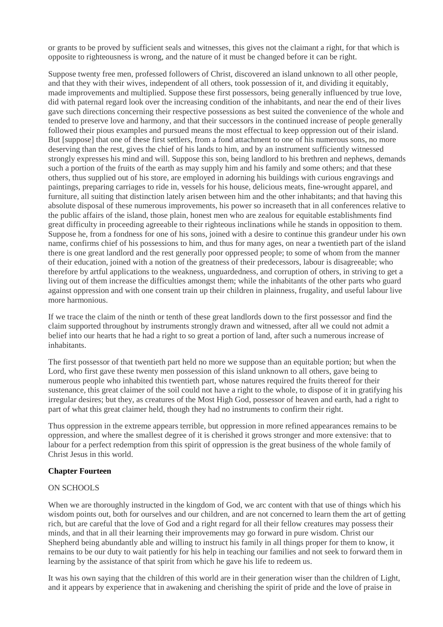or grants to be proved by sufficient seals and witnesses, this gives not the claimant a right, for that which is opposite to righteousness is wrong, and the nature of it must be changed before it can be right.

Suppose twenty free men, professed followers of Christ, discovered an island unknown to all other people, and that they with their wives, independent of all others, took possession of it, and dividing it equitably, made improvements and multiplied. Suppose these first possessors, being generally influenced by true love, did with paternal regard look over the increasing condition of the inhabitants, and near the end of their lives gave such directions concerning their respective possessions as best suited the convenience of the whole and tended to preserve love and harmony, and that their successors in the continued increase of people generally followed their pious examples and pursued means the most effectual to keep oppression out of their island. But [suppose] that one of these first settlers, from a fond attachment to one of his numerous sons, no more deserving than the rest, gives the chief of his lands to him, and by an instrument sufficiently witnessed strongly expresses his mind and will. Suppose this son, being landlord to his brethren and nephews, demands such a portion of the fruits of the earth as may supply him and his family and some others; and that these others, thus supplied out of his store, are employed in adorning his buildings with curious engravings and paintings, preparing carriages to ride in, vessels for his house, delicious meats, fine-wrought apparel, and furniture, all suiting that distinction lately arisen between him and the other inhabitants; and that having this absolute disposal of these numerous improvements, his power so increaseth that in all conferences relative to the public affairs of the island, those plain, honest men who are zealous for equitable establishments find great difficulty in proceeding agreeable to their righteous inclinations while he stands in opposition to them. Suppose he, from a fondness for one of his sons, joined with a desire to continue this grandeur under his own name, confirms chief of his possessions to him, and thus for many ages, on near a twentieth part of the island there is one great landlord and the rest generally poor oppressed people; to some of whom from the manner of their education, joined with a notion of the greatness of their predecessors, labour is disagreeable; who therefore by artful applications to the weakness, unguardedness, and corruption of others, in striving to get a living out of them increase the difficulties amongst them; while the inhabitants of the other parts who guard against oppression and with one consent train up their children in plainness, frugality, and useful labour live more harmonious.

If we trace the claim of the ninth or tenth of these great landlords down to the first possessor and find the claim supported throughout by instruments strongly drawn and witnessed, after all we could not admit a belief into our hearts that he had a right to so great a portion of land, after such a numerous increase of inhabitants.

The first possessor of that twentieth part held no more we suppose than an equitable portion; but when the Lord, who first gave these twenty men possession of this island unknown to all others, gave being to numerous people who inhabited this twentieth part, whose natures required the fruits thereof for their sustenance, this great claimer of the soil could not have a right to the whole, to dispose of it in gratifying his irregular desires; but they, as creatures of the Most High God, possessor of heaven and earth, had a right to part of what this great claimer held, though they had no instruments to confirm their right.

Thus oppression in the extreme appears terrible, but oppression in more refined appearances remains to be oppression, and where the smallest degree of it is cherished it grows stronger and more extensive: that to labour for a perfect redemption from this spirit of oppression is the great business of the whole family of Christ Jesus in this world.

#### **Chapter Fourteen**

#### ON SCHOOLS

When we are thoroughly instructed in the kingdom of God, we arc content with that use of things which his wisdom points out, both for ourselves and our children, and are not concerned to learn them the art of getting rich, but are careful that the love of God and a right regard for all their fellow creatures may possess their minds, and that in all their learning their improvements may go forward in pure wisdom. Christ our Shepherd being abundantly able and willing to instruct his family in all things proper for them to know, it remains to be our duty to wait patiently for his help in teaching our families and not seek to forward them in learning by the assistance of that spirit from which he gave his life to redeem us.

It was his own saying that the children of this world are in their generation wiser than the children of Light, and it appears by experience that in awakening and cherishing the spirit of pride and the love of praise in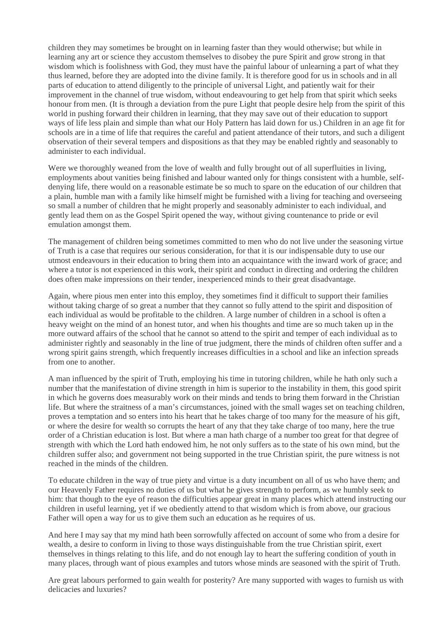children they may sometimes be brought on in learning faster than they would otherwise; but while in learning any art or science they accustom themselves to disobey the pure Spirit and grow strong in that wisdom which is foolishness with God, they must have the painful labour of unlearning a part of what they thus learned, before they are adopted into the divine family. It is therefore good for us in schools and in all parts of education to attend diligently to the principle of universal Light, and patiently wait for their improvement in the channel of true wisdom, without endeavouring to get help from that spirit which seeks honour from men. (It is through a deviation from the pure Light that people desire help from the spirit of this world in pushing forward their children in learning, that they may save out of their education to support ways of life less plain and simple than what our Holy Pattern has laid down for us.) Children in an age fit for schools are in a time of life that requires the careful and patient attendance of their tutors, and such a diligent observation of their several tempers and dispositions as that they may be enabled rightly and seasonably to administer to each individual.

Were we thoroughly weaned from the love of wealth and fully brought out of all superfluities in living, employments about vanities being finished and labour wanted only for things consistent with a humble, selfdenying life, there would on a reasonable estimate be so much to spare on the education of our children that a plain, humble man with a family like himself might be furnished with a living for teaching and overseeing so small a number of children that he might properly and seasonably administer to each individual, and gently lead them on as the Gospel Spirit opened the way, without giving countenance to pride or evil emulation amongst them.

The management of children being sometimes committed to men who do not live under the seasoning virtue of Truth is a case that requires our serious consideration, for that it is our indispensable duty to use our utmost endeavours in their education to bring them into an acquaintance with the inward work of grace; and where a tutor is not experienced in this work, their spirit and conduct in directing and ordering the children does often make impressions on their tender, inexperienced minds to their great disadvantage.

Again, where pious men enter into this employ, they sometimes find it difficult to support their families without taking charge of so great a number that they cannot so fully attend to the spirit and disposition of each individual as would be profitable to the children. A large number of children in a school is often a heavy weight on the mind of an honest tutor, and when his thoughts and time are so much taken up in the more outward affairs of the school that he cannot so attend to the spirit and temper of each individual as to administer rightly and seasonably in the line of true judgment, there the minds of children often suffer and a wrong spirit gains strength, which frequently increases difficulties in a school and like an infection spreads from one to another.

A man influenced by the spirit of Truth, employing his time in tutoring children, while he hath only such a number that the manifestation of divine strength in him is superior to the instability in them, this good spirit in which he governs does measurably work on their minds and tends to bring them forward in the Christian life. But where the straitness of a man's circumstances, joined with the small wages set on teaching children, proves a temptation and so enters into his heart that he takes charge of too many for the measure of his gift, or where the desire for wealth so corrupts the heart of any that they take charge of too many, here the true order of a Christian education is lost. But where a man hath charge of a number too great for that degree of strength with which the Lord hath endowed him, he not only suffers as to the state of his own mind, but the children suffer also; and government not being supported in the true Christian spirit, the pure witness is not reached in the minds of the children.

To educate children in the way of true piety and virtue is a duty incumbent on all of us who have them; and our Heavenly Father requires no duties of us but what he gives strength to perform, as we humbly seek to him: that though to the eye of reason the difficulties appear great in many places which attend instructing our children in useful learning, yet if we obediently attend to that wisdom which is from above, our gracious Father will open a way for us to give them such an education as he requires of us.

And here I may say that my mind hath been sorrowfully affected on account of some who from a desire for wealth, a desire to conform in living to those ways distinguishable from the true Christian spirit, exert themselves in things relating to this life, and do not enough lay to heart the suffering condition of youth in many places, through want of pious examples and tutors whose minds are seasoned with the spirit of Truth.

Are great labours performed to gain wealth for posterity? Are many supported with wages to furnish us with delicacies and luxuries?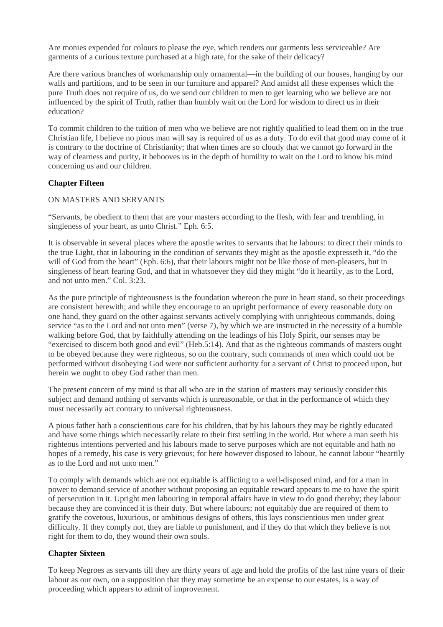Are monies expended for colours to please the eye, which renders our garments less serviceable? Are garments of a curious texture purchased at a high rate, for the sake of their delicacy?

Are there various branches of workmanship only ornamental—in the building of our houses, hanging by our walls and partitions, and to be seen in our furniture and apparel? And amidst all these expenses which the pure Truth does not require of us, do we send our children to men to get learning who we believe are not influenced by the spirit of Truth, rather than humbly wait on the Lord for wisdom to direct us in their education?

To commit children to the tuition of men who we believe are not rightly qualified to lead them on in the true Christian life, I believe no pious man will say is required of us as a duty. To do evil that good may come of it is contrary to the doctrine of Christianity; that when times are so cloudy that we cannot go forward in the way of clearness and purity, it behooves us in the depth of humility to wait on the Lord to know his mind concerning us and our children.

#### **Chapter Fifteen**

#### ON MASTERS AND SERVANTS

"Servants, be obedient to them that are your masters according to the flesh, with fear and trembling, in singleness of your heart, as unto Christ." Eph. 6:5.

It is observable in several places where the apostle writes to servants that he labours: to direct their minds to the true Light, that in labouring in the condition of servants they might as the apostle expresseth it, "do the will of God from the heart" (Eph. 6:6), that their labours might not be like those of men-pleasers, but in singleness of heart fearing God, and that in whatsoever they did they might "do it heartily, as to the Lord, and not unto men." Col. 3:23.

As the pure principle of righteousness is the foundation whereon the pure in heart stand, so their proceedings are consistent herewith; and while they encourage to an upright performance of every reasonable duty on one hand, they guard on the other against servants actively complying with unrighteous commands, doing service "as to the Lord and not unto men" (verse 7), by which we are instructed in the necessity of a humble walking before God, that by faithfully attending on the leadings of his Holy Spirit, our senses may be "exercised to discern both good and evil" (Heb.5:14). And that as the righteous commands of masters ought to be obeyed because they were righteous, so on the contrary, such commands of men which could not be performed without disobeying God were not sufficient authority for a servant of Christ to proceed upon, but herein we ought to obey God rather than men.

The present concern of my mind is that all who are in the station of masters may seriously consider this subject and demand nothing of servants which is unreasonable, or that in the performance of which they must necessarily act contrary to universal righteousness.

A pious father hath a conscientious care for his children, that by his labours they may be rightly educated and have some things which necessarily relate to their first settling in the world. But where a man seeth his righteous intentions perverted and his labours made to serve purposes which are not equitable and hath no hopes of a remedy, his case is very grievous; for here however disposed to labour, he cannot labour "heartily as to the Lord and not unto men."

To comply with demands which are not equitable is afflicting to a well-disposed mind, and for a man in power to demand service of another without proposing an equitable reward appears to me to have the spirit of persecution in it. Upright men labouring in temporal affairs have in view to do good thereby; they labour because they are convinced it is their duty. But where labours; not equitably due are required of them to gratify the covetous, luxurious, or ambitious designs of others, this lays conscientious men under great difficulty. If they comply not, they are liable to punishment, and if they do that which they believe is not right for them to do, they wound their own souls.

#### **Chapter Sixteen**

To keep Negroes as servants till they are thirty years of age and hold the profits of the last nine years of their labour as our own, on a supposition that they may sometime be an expense to our estates, is a way of proceeding which appears to admit of improvement.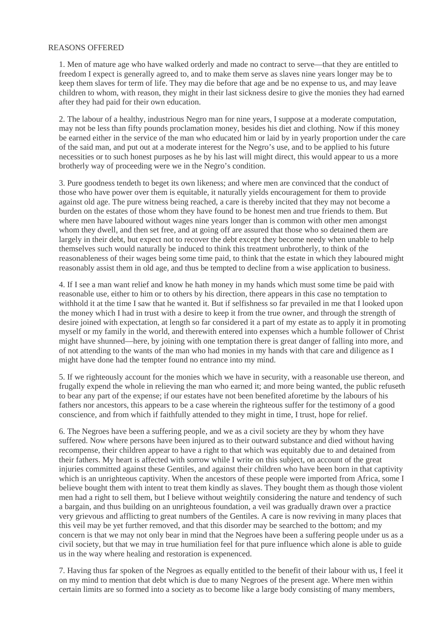#### REASONS OFFERED

1. Men of mature age who have walked orderly and made no contract to serve—that they are entitled to freedom I expect is generally agreed to, and to make them serve as slaves nine years longer may be to keep them slaves for term of life. They may die before that age and be no expense to us, and may leave children to whom, with reason, they might in their last sickness desire to give the monies they had earned after they had paid for their own education.

2. The labour of a healthy, industrious Negro man for nine years, I suppose at a moderate computation, may not be less than fifty pounds proclamation money, besides his diet and clothing. Now if this money be earned either in the service of the man who educated him or laid by in yearly proportion under the care of the said man, and put out at a moderate interest for the Negro's use, and to be applied to his future necessities or to such honest purposes as he by his last will might direct, this would appear to us a more brotherly way of proceeding were we in the Negro's condition.

3. Pure goodness tendeth to beget its own likeness; and where men are convinced that the conduct of those who have power over them is equitable, it naturally yields encouragement for them to provide against old age. The pure witness being reached, a care is thereby incited that they may not become a burden on the estates of those whom they have found to be honest men and true friends to them. But where men have laboured without wages nine years longer than is common with other men amongst whom they dwell, and then set free, and at going off are assured that those who so detained them are largely in their debt, but expect not to recover the debt except they become needy when unable to help themselves such would naturally be induced to think this treatment unbrotherly, to think of the reasonableness of their wages being some time paid, to think that the estate in which they laboured might reasonably assist them in old age, and thus be tempted to decline from a wise application to business.

4. If I see a man want relief and know he hath money in my hands which must some time be paid with reasonable use, either to him or to others by his direction, there appears in this case no temptation to withhold it at the time I saw that he wanted it. But if selfishness so far prevailed in me that I looked upon the money which I had in trust with a desire to keep it from the true owner, and through the strength of desire joined with expectation, at length so far considered it a part of my estate as to apply it in promoting myself or my family in the world, and therewith entered into expenses which a humble follower of Christ might have shunned—here, by joining with one temptation there is great danger of falling into more, and of not attending to the wants of the man who had monies in my hands with that care and diligence as I might have done had the tempter found no entrance into my mind.

5. If we righteously account for the monies which we have in security, with a reasonable use thereon, and frugally expend the whole in relieving the man who earned it; and more being wanted, the public refuseth to bear any part of the expense; if our estates have not been benefited aforetime by the labours of his fathers nor ancestors, this appears to be a case wherein the righteous suffer for the testimony of a good conscience, and from which if faithfully attended to they might in time, I trust, hope for relief.

6. The Negroes have been a suffering people, and we as a civil society are they by whom they have suffered. Now where persons have been injured as to their outward substance and died without having recompense, their children appear to have a right to that which was equitably due to and detained from their fathers. My heart is affected with sorrow while I write on this subject, on account of the great injuries committed against these Gentiles, and against their children who have been born in that captivity which is an unrighteous captivity. When the ancestors of these people were imported from Africa, some I believe bought them with intent to treat them kindly as slaves. They bought them as though those violent men had a right to sell them, but I believe without weightily considering the nature and tendency of such a bargain, and thus building on an unrighteous foundation, a veil was gradually drawn over a practice very grievous and afflicting to great numbers of the Gentiles. A care is now reviving in many places that this veil may be yet further removed, and that this disorder may be searched to the bottom; and my concern is that we may not only bear in mind that the Negroes have been a suffering people under us as a civil society, but that we may in true humiliation feel for that pure influence which alone is able to guide us in the way where healing and restoration is expenenced.

7. Having thus far spoken of the Negroes as equally entitled to the benefit of their labour with us, I feel it on my mind to mention that debt which is due to many Negroes of the present age. Where men within certain limits are so formed into a society as to become like a large body consisting of many members,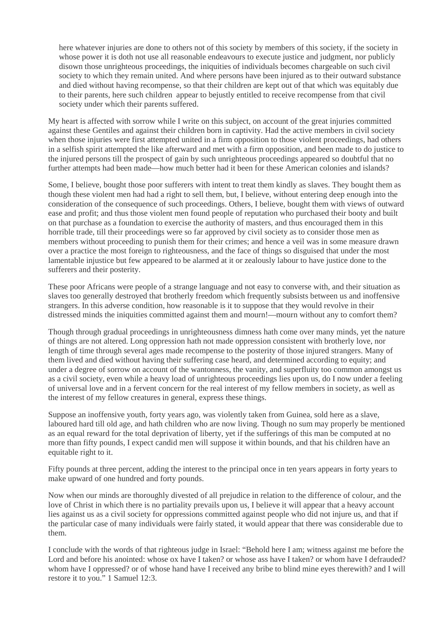here whatever injuries are done to others not of this society by members of this society, if the society in whose power it is doth not use all reasonable endeavours to execute justice and judgment, nor publicly disown those unrighteous proceedings, the iniquities of individuals becomes chargeable on such civil society to which they remain united. And where persons have been injured as to their outward substance and died without having recompense, so that their children are kept out of that which was equitably due to their parents, here such children appear to bejustly entitled to receive recompense from that civil society under which their parents suffered.

My heart is affected with sorrow while I write on this subject, on account of the great injuries committed against these Gentiles and against their children born in captivity. Had the active members in civil society when those injuries were first attempted united in a firm opposition to those violent proceedings, had others in a selfish spirit attempted the like afterward and met with a firm opposition, and been made to do justice to the injured persons till the prospect of gain by such unrighteous proceedings appeared so doubtful that no further attempts had been made—how much better had it been for these American colonies and islands?

Some, I believe, bought those poor sufferers with intent to treat them kindly as slaves. They bought them as though these violent men had had a right to sell them, but, I believe, without entering deep enough into the consideration of the consequence of such proceedings. Others, I believe, bought them with views of outward ease and profit; and thus those violent men found people of reputation who purchased their booty and built on that purchase as a foundation to exercise the authority of masters, and thus encouraged them in this horrible trade, till their proceedings were so far approved by civil society as to consider those men as members without proceeding to punish them for their crimes; and hence a veil was in some measure drawn over a practice the most foreign to righteousness, and the face of things so disguised that under the most lamentable injustice but few appeared to be alarmed at it or zealously labour to have justice done to the sufferers and their posterity.

These poor Africans were people of a strange language and not easy to converse with, and their situation as slaves too generally destroyed that brotherly freedom which frequently subsists between us and inoffensive strangers. In this adverse condition, how reasonable is it to suppose that they would revolve in their distressed minds the iniquities committed against them and mourn!—mourn without any to comfort them?

Though through gradual proceedings in unrighteousness dimness hath come over many minds, yet the nature of things are not altered. Long oppression hath not made oppression consistent with brotherly love, nor length of time through several ages made recompense to the posterity of those injured strangers. Many of them lived and died without having their suffering case heard, and determined according to equity; and under a degree of sorrow on account of the wantonness, the vanity, and superfluity too common amongst us as a civil society, even while a heavy load of unrighteous proceedings lies upon us, do I now under a feeling of universal love and in a fervent concern for the real interest of my fellow members in society, as well as the interest of my fellow creatures in general, express these things.

Suppose an inoffensive youth, forty years ago, was violently taken from Guinea, sold here as a slave, laboured hard till old age, and hath children who are now living. Though no sum may properly be mentioned as an equal reward for the total deprivation of liberty, yet if the sufferings of this man be computed at no more than fifty pounds, I expect candid men will suppose it within bounds, and that his children have an equitable right to it.

Fifty pounds at three percent, adding the interest to the principal once in ten years appears in forty years to make upward of one hundred and forty pounds.

Now when our minds are thoroughly divested of all prejudice in relation to the difference of colour, and the love of Christ in which there is no partiality prevails upon us, I believe it will appear that a heavy account lies against us as a civil society for oppressions committed against people who did not injure us, and that if the particular case of many individuals were fairly stated, it would appear that there was considerable due to them.

I conclude with the words of that righteous judge in Israel: "Behold here I am; witness against me before the Lord and before his anointed: whose ox have I taken? or whose ass have I taken? or whom have I defrauded? whom have I oppressed? or of whose hand have I received any bribe to blind mine eyes therewith? and I will restore it to you." 1 Samuel 12:3.